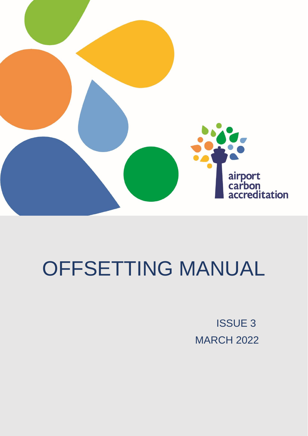

# OFFSETTING MANUAL

ISSUE 3 MARCH 2022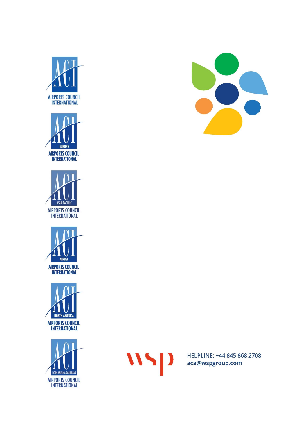















HELPLINE: +44 845 868 2708 aca@wspgroup.com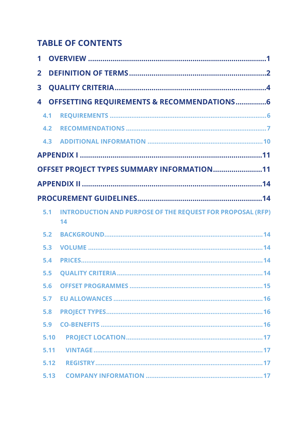# **TABLE OF CONTENTS**

| $\mathbf 1$             |                                                                         |
|-------------------------|-------------------------------------------------------------------------|
| $\overline{2}$          |                                                                         |
| $\overline{\mathbf{3}}$ |                                                                         |
| 4                       | <b>OFFSETTING REQUIREMENTS &amp; RECOMMENDATIONS6</b>                   |
| 4.1                     |                                                                         |
| 4.2                     |                                                                         |
| 4.3                     |                                                                         |
|                         |                                                                         |
|                         | OFFSET PROJECT TYPES SUMMARY INFORMATION11                              |
|                         |                                                                         |
|                         |                                                                         |
| 5.1                     | <b>INTRODUCTION AND PURPOSE OF THE REQUEST FOR PROPOSAL (RFP)</b><br>14 |
| 5.2                     |                                                                         |
| 5.3                     |                                                                         |
| 5.4                     |                                                                         |
| 5.5                     |                                                                         |
|                         |                                                                         |
| 5.7                     |                                                                         |
| 5.8                     |                                                                         |
| 5.9                     |                                                                         |
| 5.10                    |                                                                         |
| 5.11                    |                                                                         |
| 5.12                    |                                                                         |
| 5.13                    |                                                                         |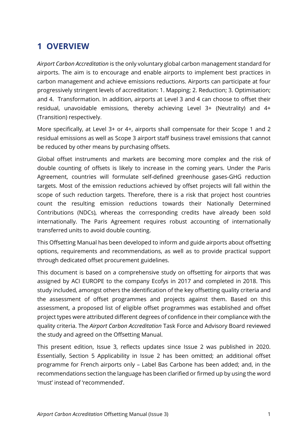## <span id="page-3-0"></span>**1 OVERVIEW**

*Airport Carbon Accreditation* is the only voluntary global carbon management standard for airports. The aim is to encourage and enable airports to implement best practices in carbon management and achieve emissions reductions. Airports can participate at four progressively stringent levels of accreditation: 1. Mapping; 2. Reduction; 3. Optimisation; and 4. Transformation. In addition, airports at Level 3 and 4 can choose to offset their residual, unavoidable emissions, thereby achieving Level 3+ (Neutrality) and 4+ (Transition) respectively.

More specifically, at Level 3+ or 4+, airports shall compensate for their Scope 1 and 2 residual emissions as well as Scope 3 airport staff business travel emissions that cannot be reduced by other means by purchasing offsets.

Global offset instruments and markets are becoming more complex and the risk of double counting of offsets is likely to increase in the coming years. Under the Paris Agreement, countries will formulate self-defined greenhouse gases-GHG reduction targets. Most of the emission reductions achieved by offset projects will fall within the scope of such reduction targets. Therefore, there is a risk that project host countries count the resulting emission reductions towards their Nationally Determined Contributions (NDCs), whereas the corresponding credits have already been sold internationally. The Paris Agreement requires robust accounting of internationally transferred units to avoid double counting.

This Offsetting Manual has been developed to inform and guide airports about offsetting options, requirements and recommendations, as well as to provide practical support through dedicated offset procurement guidelines.

This document is based on a comprehensive study on offsetting for airports that was assigned by ACI EUROPE to the company Ecofys in 2017 and completed in 2018. This study included, amongst others the identification of the key offsetting quality criteria and the assessment of offset programmes and projects against them. Based on this assessment, a proposed list of eligible offset programmes was established and offset project types were attributed different degrees of confidence in their compliance with the quality criteria. The *Airport Carbon Accreditation* Task Force and Advisory Board reviewed the study and agreed on the Offsetting Manual.

This present edition, Issue 3, reflects updates since Issue 2 was published in 2020. Essentially, Section 5 Applicability in Issue 2 has been omitted; an additional offset programme for French airports only – Label Bas Carbone has been added; and, in the recommendations section the language has been clarified or firmed up by using the word 'must' instead of 'recommended'.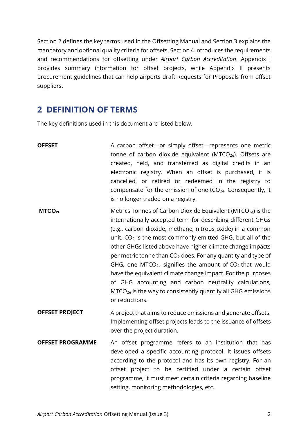Section 2 defines the key terms used in the Offsetting Manual and Section 3 explains the mandatory and optional quality criteria for offsets. Section 4 introduces the requirements and recommendations for offsetting under *Airport Carbon Accreditation*. Appendix I provides summary information for offset projects, while Appendix II presents procurement guidelines that can help airports draft Requests for Proposals from offset suppliers.

## <span id="page-4-0"></span>**2 DEFINITION OF TERMS**

The key definitions used in this document are listed below.

| <b>OFFSET</b>           | A carbon offset-or simply offset-represents one metric<br>tonne of carbon dioxide equivalent (MTCO <sub>2e</sub> ). Offsets are<br>created, held, and transferred as digital credits in an<br>electronic registry. When an offset is purchased, it is<br>cancelled, or retired or redeemed in the registry to<br>compensate for the emission of one tCO <sub>2e</sub> . Consequently, it<br>is no longer traded on a registry.                                                                                                                                                                                                                                                                      |
|-------------------------|-----------------------------------------------------------------------------------------------------------------------------------------------------------------------------------------------------------------------------------------------------------------------------------------------------------------------------------------------------------------------------------------------------------------------------------------------------------------------------------------------------------------------------------------------------------------------------------------------------------------------------------------------------------------------------------------------------|
| MTCO <sub>2E</sub>      | Metrics Tonnes of Carbon Dioxide Equivalent (MTCO <sub>2e</sub> ) is the<br>internationally accepted term for describing different GHGs<br>(e.g., carbon dioxide, methane, nitrous oxide) in a common<br>unit. $CO2$ is the most commonly emitted GHG, but all of the<br>other GHGs listed above have higher climate change impacts<br>per metric tonne than $CO2$ does. For any quantity and type of<br>GHG, one MTCO <sub>2e</sub> signifies the amount of $CO2$ that would<br>have the equivalent climate change impact. For the purposes<br>of GHG accounting and carbon neutrality calculations,<br>MTCO <sub>2e</sub> is the way to consistently quantify all GHG emissions<br>or reductions. |
| <b>OFFSET PROJECT</b>   | A project that aims to reduce emissions and generate offsets.<br>Implementing offset projects leads to the issuance of offsets<br>over the project duration.                                                                                                                                                                                                                                                                                                                                                                                                                                                                                                                                        |
| <b>OFFSET PROGRAMME</b> | An offset programme refers to an institution that has<br>developed a specific accounting protocol. It issues offsets<br>according to the protocol and has its own registry. For an<br>offset project to be certified under a certain offset<br>programme, it must meet certain criteria regarding baseline<br>setting, monitoring methodologies, etc.                                                                                                                                                                                                                                                                                                                                               |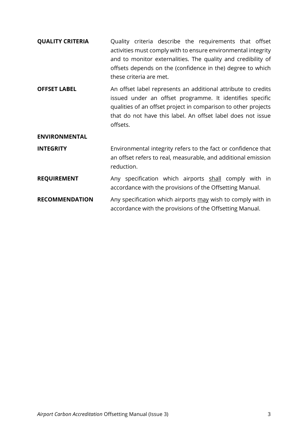- **QUALITY CRITERIA** Quality criteria describe the requirements that offset activities must comply with to ensure environmental integrity and to monitor externalities. The quality and credibility of offsets depends on the (confidence in the) degree to which these criteria are met.
- **OFFSET LABEL** An offset label represents an additional attribute to credits issued under an offset programme. It identifies specific qualities of an offset project in comparison to other projects that do not have this label. An offset label does not issue offsets.

#### **ENVIRONMENTAL**

- **INTEGRITY** Environmental integrity refers to the fact or confidence that an offset refers to real, measurable, and additional emission reduction.
- **REQUIREMENT** Any specification which airports shall comply with in accordance with the provisions of the Offsetting Manual.
- **RECOMMENDATION** Any specification which airports may wish to comply with in accordance with the provisions of the Offsetting Manual.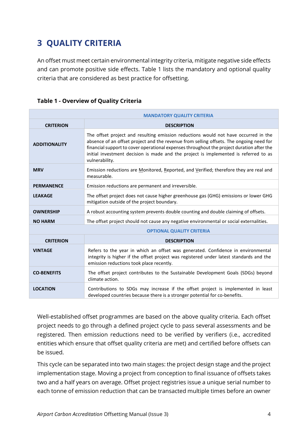# <span id="page-6-0"></span>**3 QUALITY CRITERIA**

An offset must meet certain environmental integrity criteria, mitigate negative side effects and can promote positive side effects. Table 1 lists the mandatory and optional quality criteria that are considered as best practice for offsetting.

| Table 1 - Overview of Quality Criteria |  |  |
|----------------------------------------|--|--|
|----------------------------------------|--|--|

| <b>MANDATORY QUALITY CRITERIA</b> |                                                                                                                                                                                                                                                                                                                                                                                       |  |  |
|-----------------------------------|---------------------------------------------------------------------------------------------------------------------------------------------------------------------------------------------------------------------------------------------------------------------------------------------------------------------------------------------------------------------------------------|--|--|
| <b>CRITERION</b>                  | <b>DESCRIPTION</b>                                                                                                                                                                                                                                                                                                                                                                    |  |  |
| <b>ADDITIONALITY</b>              | The offset project and resulting emission reductions would not have occurred in the<br>absence of an offset project and the revenue from selling offsets. The ongoing need for<br>financial support to cover operational expenses throughout the project duration after the<br>initial investment decision is made and the project is implemented is referred to as<br>vulnerability. |  |  |
| <b>MRV</b>                        | Emission reductions are Monitored, Reported, and Verified; therefore they are real and<br>measurable.                                                                                                                                                                                                                                                                                 |  |  |
| <b>PERMANENCE</b>                 | Emission reductions are permanent and irreversible.                                                                                                                                                                                                                                                                                                                                   |  |  |
| <b>LEAKAGE</b>                    | The offset project does not cause higher greenhouse gas (GHG) emissions or lower GHG<br>mitigation outside of the project boundary.                                                                                                                                                                                                                                                   |  |  |
| <b>OWNERSHIP</b>                  | A robust accounting system prevents double counting and double claiming of offsets.                                                                                                                                                                                                                                                                                                   |  |  |
| <b>NO HARM</b>                    | The offset project should not cause any negative environmental or social externalities.                                                                                                                                                                                                                                                                                               |  |  |
| <b>OPTIONAL QUALITY CRITERIA</b>  |                                                                                                                                                                                                                                                                                                                                                                                       |  |  |
| <b>CRITERION</b>                  | <b>DESCRIPTION</b>                                                                                                                                                                                                                                                                                                                                                                    |  |  |
| <b>VINTAGE</b>                    | Refers to the year in which an offset was generated. Confidence in environmental<br>integrity is higher if the offset project was registered under latest standards and the<br>emission reductions took place recently.                                                                                                                                                               |  |  |
| <b>CO-BENEFITS</b>                | The offset project contributes to the Sustainable Development Goals (SDGs) beyond<br>climate action.                                                                                                                                                                                                                                                                                  |  |  |
| <b>LOCATION</b>                   | Contributions to SDGs may increase if the offset project is implemented in least<br>developed countries because there is a stronger potential for co-benefits.                                                                                                                                                                                                                        |  |  |

Well-established offset programmes are based on the above quality criteria. Each offset project needs to go through a defined project cycle to pass several assessments and be registered. Then emission reductions need to be verified by verifiers (i.e., accredited entities which ensure that offset quality criteria are met) and certified before offsets can be issued.

This cycle can be separated into two main stages: the project design stage and the project implementation stage. Moving a project from conception to final issuance of offsets takes two and a half years on average. Offset project registries issue a unique serial number to each tonne of emission reduction that can be transacted multiple times before an owner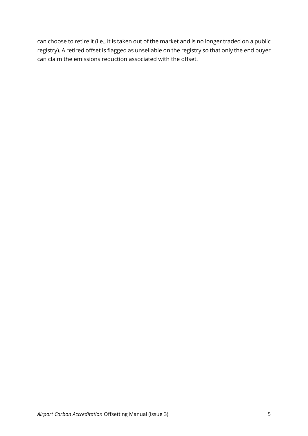can choose to retire it (i.e., it is taken out of the market and is no longer traded on a public registry). A retired offset is flagged as unsellable on the registry so that only the end buyer can claim the emissions reduction associated with the offset.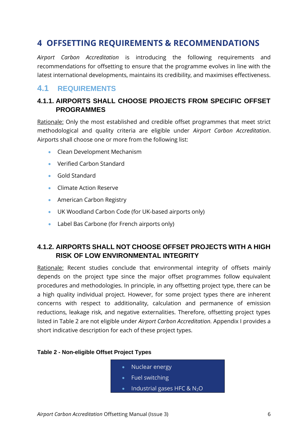## <span id="page-8-0"></span>**4 OFFSETTING REQUIREMENTS & RECOMMENDATIONS**

*Airport Carbon Accreditation* is introducing the following requirements and recommendations for offsetting to ensure that the programme evolves in line with the latest international developments, maintains its credibility, and maximises effectiveness.

## <span id="page-8-1"></span>**4.1 REQUIREMENTS**

## **4.1.1. AIRPORTS SHALL CHOOSE PROJECTS FROM SPECIFIC OFFSET PROGRAMMES**

Rationale: Only the most established and credible offset programmes that meet strict methodological and quality criteria are eligible under *Airport Carbon Accreditation*. Airports shall choose one or more from the following list:

- Clean Development Mechanism
- Verified Carbon Standard
- Gold Standard
- Climate Action Reserve
- American Carbon Registry
- UK Woodland Carbon Code (for UK-based airports only)
- Label Bas Carbone (for French airports only)

## **4.1.2. AIRPORTS SHALL NOT CHOOSE OFFSET PROJECTS WITH A HIGH RISK OF LOW ENVIRONMENTAL INTEGRITY**

Rationale: Recent studies conclude that environmental integrity of offsets mainly depends on the project type since the major offset programmes follow equivalent procedures and methodologies. In principle, in any offsetting project type, there can be a high quality individual project. However, for some project types there are inherent concerns with respect to additionality, calculation and permanence of emission reductions, leakage risk, and negative externalities. Therefore, offsetting project types listed in Table 2 are not eligible under *Airport Carbon Accreditation.* Appendix I provides a short indicative description for each of these project types.

|  | Table 2 - Non-eligible Offset Project Types |
|--|---------------------------------------------|
|--|---------------------------------------------|

- Nuclear energy
- Fuel switching
- Industrial gases HFC &  $N_2O$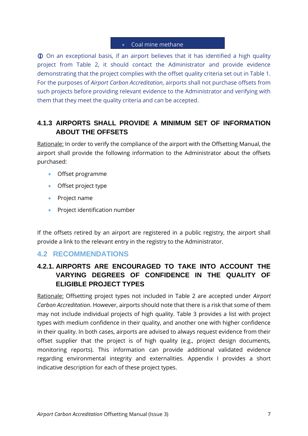#### • Coal mine methane

 On an exceptional basis, if an airport believes that it has identified a high quality project from Table 2, it should contact the Administrator and provide evidence demonstrating that the project complies with the offset quality criteria set out in Table 1. For the purposes of *Airport Carbon Accreditation*, airports shall not purchase offsets from such projects before providing relevant evidence to the Administrator and verifying with them that they meet the quality criteria and can be accepted.

## **4.1.3 AIRPORTS SHALL PROVIDE A MINIMUM SET OF INFORMATION ABOUT THE OFFSETS**

Rationale: In order to verify the compliance of the airport with the Offsetting Manual, the airport shall provide the following information to the Administrator about the offsets purchased:

- Offset programme
- Offset project type
- Project name
- Project identification number

If the offsets retired by an airport are registered in a public registry, the airport shall provide a link to the relevant entry in the registry to the Administrator.

## <span id="page-9-0"></span>**4.2 RECOMMENDATIONS**

## **4.2.1. AIRPORTS ARE ENCOURAGED TO TAKE INTO ACCOUNT THE VARYING DEGREES OF CONFIDENCE IN THE QUALITY OF ELIGIBLE PROJECT TYPES**

Rationale: Offsetting project types not included in Table 2 are accepted under *Airport Carbon Accreditation*. However, airports should note that there is a risk that some of them may not include individual projects of high quality. Table 3 provides a list with project types with medium confidence in their quality, and another one with higher confidence in their quality. In both cases, airports are advised to always request evidence from their offset supplier that the project is of high quality (e.g., project design documents, monitoring reports). This information can provide additional validated evidence regarding environmental integrity and externalities. Appendix I provides a short indicative description for each of these project types.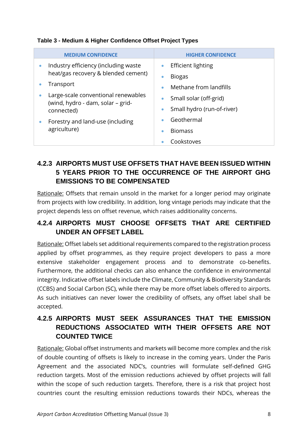| <b>MEDIUM CONFIDENCE</b>                          | <b>HIGHER CONFIDENCE</b>        |
|---------------------------------------------------|---------------------------------|
| Industry efficiency (including waste<br>$\bullet$ | Efficient lighting<br>$\bullet$ |
| heat/gas recovery & blended cement)               | <b>Biogas</b><br>۰              |
| Transport                                         | Methane from landfills<br>۰     |
| Large-scale conventional renewables               | Small solar (off-grid)<br>٠     |
| (wind, hydro - dam, solar – grid-<br>connected)   | Small hydro (run-of-river)<br>٠ |
| Forestry and land-use (including                  | Geothermal<br>۰                 |
| agriculture)                                      | <b>Biomass</b><br>٠             |
|                                                   | Cookstoves                      |

#### **Table 3 - Medium & Higher Confidence Offset Project Types**

## **4.2.3 AIRPORTS MUST USE OFFSETS THAT HAVE BEEN ISSUED WITHIN 5 YEARS PRIOR TO THE OCCURRENCE OF THE AIRPORT GHG EMISSIONS TO BE COMPENSATED**

Rationale: Offsets that remain unsold in the market for a longer period may originate from projects with low credibility. In addition, long vintage periods may indicate that the project depends less on offset revenue, which raises additionality concerns.

## **4.2.4 AIRPORTS MUST CHOOSE OFFSETS THAT ARE CERTIFIED UNDER AN OFFSET LABEL**

Rationale: Offset labels set additional requirements compared to the registration process applied by offset programmes, as they require project developers to pass a more extensive stakeholder engagement process and to demonstrate co-benefits. Furthermore, the additional checks can also enhance the confidence in environmental integrity. Indicative offset labels include the Climate, Community & Biodiversity Standards (CCBS) and Social Carbon (SC), while there may be more offset labels offered to airports. As such initiatives can never lower the credibility of offsets, any offset label shall be accepted.

## **4.2.5 AIRPORTS MUST SEEK ASSURANCES THAT THE EMISSION REDUCTIONS ASSOCIATED WITH THEIR OFFSETS ARE NOT COUNTED TWICE**

Rationale: Global offset instruments and markets will become more complex and the risk of double counting of offsets is likely to increase in the coming years. Under the Paris Agreement and the associated NDC's, countries will formulate self-defined GHG reduction targets. Most of the emission reductions achieved by offset projects will fall within the scope of such reduction targets. Therefore, there is a risk that project host countries count the resulting emission reductions towards their NDCs, whereas the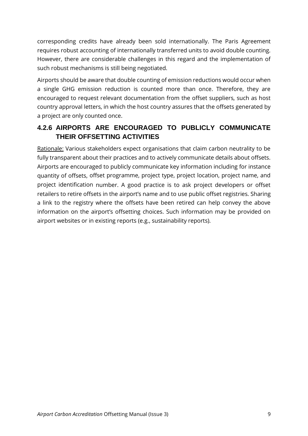corresponding credits have already been sold internationally. The Paris Agreement requires robust accounting of internationally transferred units to avoid double counting. However, there are considerable challenges in this regard and the implementation of such robust mechanisms is still being negotiated.

Airports should be aware that double counting of emission reductions would occur when a single GHG emission reduction is counted more than once. Therefore, they are encouraged to request relevant documentation from the offset suppliers, such as host country approval letters, in which the host country assures that the offsets generated by a project are only counted once.

## **4.2.6 AIRPORTS ARE ENCOURAGED TO PUBLICLY COMMUNICATE THEIR OFFSETTING ACTIVITIES**

Rationale: Various stakeholders expect organisations that claim carbon neutrality to be fully transparent about their practices and to actively communicate details about offsets. Airports are encouraged to publicly communicate key information including for instance quantity of offsets, offset programme, project type, project location, project name, and project identification number. A good practice is to ask project developers or offset retailers to retire offsets in the airport's name and to use public offset registries. Sharing a link to the registry where the offsets have been retired can help convey the above information on the airport's offsetting choices. Such information may be provided on airport websites or in existing reports (e.g., sustainability reports).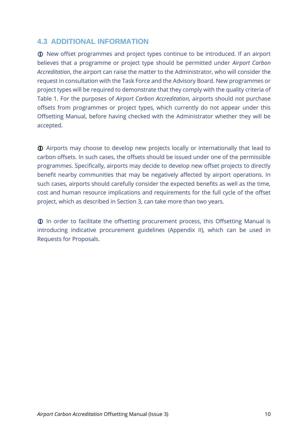## <span id="page-12-0"></span>**4.3 ADDITIONAL INFORMATION**

New offset programmes and project types continue to be introduced. If an airport believes that a programme or project type should be permitted under *Airport Carbon Accreditation*, the airport can raise the matter to the Administrator, who will consider the request in consultation with the Task Force and the Advisory Board. New programmes or project types will be required to demonstrate that they comply with the quality criteria of Table 1. For the purposes of *Airport Carbon Accreditation*, airports should not purchase offsets from programmes or project types, which currently do not appear under this Offsetting Manual, before having checked with the Administrator whether they will be accepted.

 Airports may choose to develop new projects locally or internationally that lead to carbon offsets. In such cases, the offsets should be issued under one of the permissible programmes. Specifically, airports may decide to develop new offset projects to directly benefit nearby communities that may be negatively affected by airport operations. In such cases, airports should carefully consider the expected benefits as well as the time, cost and human resource implications and requirements for the full cycle of the offset project, which as described in Section 3, can take more than two years.

 In order to facilitate the offsetting procurement process, this Offsetting Manual is introducing indicative procurement guidelines (Appendix II), which can be used in Requests for Proposals.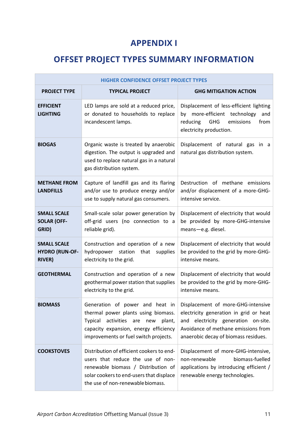## **APPENDIX I**

# <span id="page-13-1"></span><span id="page-13-0"></span>**OFFSET PROJECT TYPES SUMMARY INFORMATION**

| HIGHER CONFIDENCE OFFSET PROJECT TYPES                       |                                                                                                                                                                                                        |                                                                                                                                                                                                                                       |  |
|--------------------------------------------------------------|--------------------------------------------------------------------------------------------------------------------------------------------------------------------------------------------------------|---------------------------------------------------------------------------------------------------------------------------------------------------------------------------------------------------------------------------------------|--|
| <b>PROJECT TYPE</b>                                          | <b>TYPICAL PROJECT</b>                                                                                                                                                                                 | <b>GHG MITIGATION ACTION</b>                                                                                                                                                                                                          |  |
| <b>EFFICIENT</b><br><b>LIGHTING</b>                          | LED lamps are sold at a reduced price,<br>or donated to households to replace<br>incandescent lamps.                                                                                                   | Displacement of less-efficient lighting<br>by more-efficient technology<br>and<br>emissions<br>reducing<br>GHG<br>from<br>electricity production.                                                                                     |  |
| <b>BIOGAS</b>                                                | Organic waste is treated by anaerobic<br>digestion. The output is upgraded and<br>used to replace natural gas in a natural<br>gas distribution system.                                                 | Displacement of natural gas in a<br>natural gas distribution system.                                                                                                                                                                  |  |
| <b>METHANE FROM</b><br><b>LANDFILLS</b>                      | Capture of landfill gas and its flaring<br>and/or use to produce energy and/or<br>use to supply natural gas consumers.                                                                                 | Destruction of methane emissions<br>and/or displacement of a more-GHG-<br>intensive service.                                                                                                                                          |  |
| <b>SMALL SCALE</b><br><b>SOLAR (OFF-</b><br>GRID)            | Small-scale solar power generation by<br>off-grid users (no connection to a<br>reliable grid).                                                                                                         | Displacement of electricity that would<br>be provided by more-GHG-intensive<br>means-e.g. diesel.                                                                                                                                     |  |
| <b>SMALL SCALE</b><br><b>HYDRO (RUN-OF-</b><br><b>RIVER)</b> | Construction and operation of a new<br>hydropower station that supplies<br>electricity to the grid.                                                                                                    | Displacement of electricity that would<br>be provided to the grid by more-GHG-<br>intensive means.                                                                                                                                    |  |
| <b>GEOTHERMAL</b>                                            | Construction and operation of a new<br>geothermal power station that supplies<br>electricity to the grid.                                                                                              | Displacement of electricity that would<br>be provided to the grid by more-GHG-<br>intensive means.                                                                                                                                    |  |
| <b>BIOMASS</b>                                               | thermal power plants using biomass.<br>Typical<br>activities are<br>new<br>plant,<br>capacity expansion, energy efficiency<br>improvements or fuel switch projects.                                    | Generation of power and heat in Displacement of more-GHG-intensive<br>electricity generation in grid or heat<br>electricity generation on-site.<br>and<br>Avoidance of methane emissions from<br>anaerobic decay of biomass residues. |  |
| <b>COOKSTOVES</b>                                            | Distribution of efficient cookers to end-<br>users that reduce the use of non-<br>renewable biomass / Distribution of<br>solar cookers to end-users that displace<br>the use of non-renewable biomass. | Displacement of more-GHG-intensive,<br>biomass-fuelled<br>non-renewable<br>applications by introducing efficient /<br>renewable energy technologies.                                                                                  |  |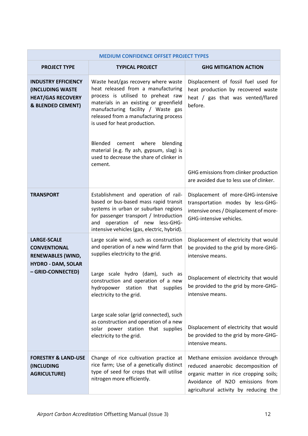| <b>MEDIUM CONFIDENCE OFFSET PROJECT TYPES</b>                                                          |                                                                                                                                                                                                                                                                                                                    |                                                                                                                                                                                                |  |
|--------------------------------------------------------------------------------------------------------|--------------------------------------------------------------------------------------------------------------------------------------------------------------------------------------------------------------------------------------------------------------------------------------------------------------------|------------------------------------------------------------------------------------------------------------------------------------------------------------------------------------------------|--|
| <b>PROJECT TYPE</b>                                                                                    | <b>TYPICAL PROJECT</b>                                                                                                                                                                                                                                                                                             | <b>GHG MITIGATION ACTION</b>                                                                                                                                                                   |  |
| <b>INDUSTRY EFFICIENCY</b><br><b>(INCLUDING WASTE</b><br><b>HEAT/GAS RECOVERY</b><br>& BLENDED CEMENT) | Waste heat/gas recovery where waste<br>heat released from a manufacturing<br>process is utilised to preheat raw<br>materials in an existing or greenfield<br>manufacturing facility / Waste gas<br>released from a manufacturing process<br>is used for heat production.<br>Blended<br>cement<br>where<br>blending | Displacement of fossil fuel used for<br>heat production by recovered waste<br>heat / gas that was vented/flared<br>before.                                                                     |  |
|                                                                                                        | material (e.g. fly ash, gypsum, slag) is<br>used to decrease the share of clinker in<br>cement.                                                                                                                                                                                                                    | GHG emissions from clinker production<br>are avoided due to less use of clinker.                                                                                                               |  |
| <b>TRANSPORT</b>                                                                                       | Establishment and operation of rail-<br>based or bus-based mass rapid transit<br>systems in urban or suburban regions<br>for passenger transport / Introduction<br>and operation of new less-GHG-<br>intensive vehicles (gas, electric, hybrid).                                                                   | Displacement of more-GHG-intensive<br>transportation modes by less-GHG-<br>intensive ones / Displacement of more-<br>GHG-intensive vehicles.                                                   |  |
| <b>LARGE-SCALE</b><br><b>CONVENTIONAL</b><br><b>RENEWABLES (WIND,</b><br><b>HYDRO - DAM, SOLAR</b>     | Large scale wind, such as construction<br>and operation of a new wind farm that<br>supplies electricity to the grid.                                                                                                                                                                                               | Displacement of electricity that would<br>be provided to the grid by more-GHG-<br>intensive means.                                                                                             |  |
| - GRID-CONNECTED)                                                                                      | Large scale hydro (dam), such as<br>construction and operation of a new<br>hydropower station that supplies<br>electricity to the grid.                                                                                                                                                                            | Displacement of electricity that would<br>be provided to the grid by more-GHG-<br>intensive means.                                                                                             |  |
|                                                                                                        | Large scale solar (grid connected), such<br>as construction and operation of a new<br>solar power station that supplies<br>electricity to the grid.                                                                                                                                                                | Displacement of electricity that would<br>be provided to the grid by more-GHG-<br>intensive means.                                                                                             |  |
| <b>FORESTRY &amp; LAND-USE</b><br><i><b>(INCLUDING)</b></i><br><b>AGRICULTURE)</b>                     | Change of rice cultivation practice at<br>rice farm; Use of a genetically distinct<br>type of seed for crops that will utilise<br>nitrogen more efficiently.                                                                                                                                                       | Methane emission avoidance through<br>reduced anaerobic decomposition of<br>organic matter in rice cropping soils;<br>Avoidance of N2O emissions from<br>agricultural activity by reducing the |  |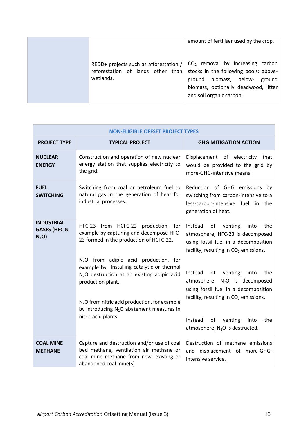|                                                                                          | amount of fertiliser used by the crop.                                                                                                                                              |
|------------------------------------------------------------------------------------------|-------------------------------------------------------------------------------------------------------------------------------------------------------------------------------------|
| REDD+ projects such as afforestation /<br>reforestation of lands other than<br>wetlands. | $CO2$ removal by increasing carbon<br>stocks in the following pools: above-<br>biomass, below- ground<br>ground<br>biomass, optionally deadwood, litter<br>and soil organic carbon. |

| <b>NON-ELIGIBLE OFFSET PROJECT TYPES</b>                         |                                                                                                                                                                                                                                                                                                                    |                                                                                                                                                                                                                                             |
|------------------------------------------------------------------|--------------------------------------------------------------------------------------------------------------------------------------------------------------------------------------------------------------------------------------------------------------------------------------------------------------------|---------------------------------------------------------------------------------------------------------------------------------------------------------------------------------------------------------------------------------------------|
| <b>PROJECT TYPE</b>                                              | <b>TYPICAL PROJECT</b>                                                                                                                                                                                                                                                                                             | <b>GHG MITIGATION ACTION</b>                                                                                                                                                                                                                |
| <b>NUCLEAR</b><br><b>ENERGY</b>                                  | Construction and operation of new nuclear<br>energy station that supplies electricity to<br>the grid.                                                                                                                                                                                                              | Displacement of electricity that<br>would be provided to the grid by<br>more-GHG-intensive means.                                                                                                                                           |
| <b>FUEL</b><br><b>SWITCHING</b>                                  | Switching from coal or petroleum fuel to<br>natural gas in the generation of heat for<br>industrial processes.                                                                                                                                                                                                     | Reduction of GHG emissions by<br>switching from carbon-intensive to a<br>less-carbon-intensive fuel in the<br>generation of heat.                                                                                                           |
| <b>INDUSTRIAL</b><br><b>GASES (HFC &amp;</b><br>N <sub>2</sub> O | HFC-23 from HCFC-22 production, for<br>example by capturing and decompose HFC-<br>23 formed in the production of HCFC-22.                                                                                                                                                                                          | of<br>venting<br>the<br>Instead<br>into<br>atmosphere, HFC-23 is decomposed<br>using fossil fuel in a decomposition<br>facility, resulting in $CO2$ emissions.                                                                              |
|                                                                  | N <sub>2</sub> O from adipic acid production, for<br>example by Installing catalytic or thermal<br>N <sub>2</sub> O destruction at an existing adipic acid<br>production plant.<br>N <sub>2</sub> O from nitric acid production, for example<br>by introducing $N_2O$ abatement measures in<br>nitric acid plants. | venting<br>into<br>Instead<br>οf<br>the<br>atmosphere, $N_2O$ is decomposed<br>using fossil fuel in a decomposition<br>facility, resulting in $CO2$ emissions.<br>of venting<br>Instead<br>into<br>the<br>atmosphere, $N_2O$ is destructed. |
| <b>COAL MINE</b><br><b>METHANE</b>                               | Capture and destruction and/or use of coal<br>bed methane, ventilation air methane or<br>coal mine methane from new, existing or<br>abandoned coal mine(s)                                                                                                                                                         | Destruction of methane emissions<br>and displacement of more-GHG-<br>intensive service.                                                                                                                                                     |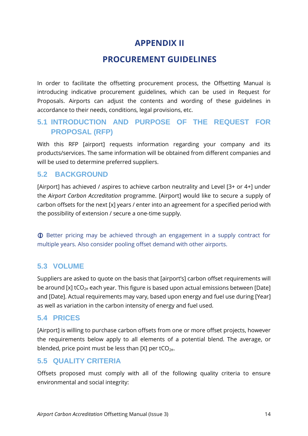## **APPENDIX II**

## **PROCUREMENT GUIDELINES**

<span id="page-16-1"></span><span id="page-16-0"></span>In order to facilitate the offsetting procurement process, the Offsetting Manual is introducing indicative procurement guidelines, which can be used in Request for Proposals. Airports can adjust the contents and wording of these guidelines in accordance to their needs, conditions, legal provisions, etc.

## <span id="page-16-2"></span>**5.1 INTRODUCTION AND PURPOSE OF THE REQUEST FOR PROPOSAL (RFP)**

With this RFP [airport] requests information regarding your company and its products/services. The same information will be obtained from different companies and will be used to determine preferred suppliers.

## <span id="page-16-3"></span>**5.2 BACKGROUND**

[Airport] has achieved / aspires to achieve carbon neutrality and Level [3+ or 4+] under the *Airport Carbon Accreditation* programme. [Airport] would like to secure a supply of carbon offsets for the next [x] years / enter into an agreement for a specified period with the possibility of extension / secure a one-time supply.

 Better pricing may be achieved through an engagement in a supply contract for multiple years. Also consider pooling offset demand with other airports.

## <span id="page-16-4"></span>**5.3 VOLUME**

Suppliers are asked to quote on the basis that [airport's] carbon offset requirements will be around  $[x]$  tCO<sub>2e</sub> each year. This figure is based upon actual emissions between [Date] and [Date]. Actual requirements may vary, based upon energy and fuel use during [Year] as well as variation in the carbon intensity of energy and fuel used.

## <span id="page-16-5"></span>**5.4 PRICES**

[Airport] is willing to purchase carbon offsets from one or more offset projects, however the requirements below apply to all elements of a potential blend. The average, or blended, price point must be less than  $[X]$  per tCO<sub>2e</sub>.

## <span id="page-16-6"></span>**5.5 QUALITY CRITERIA**

Offsets proposed must comply with all of the following quality criteria to ensure environmental and social integrity: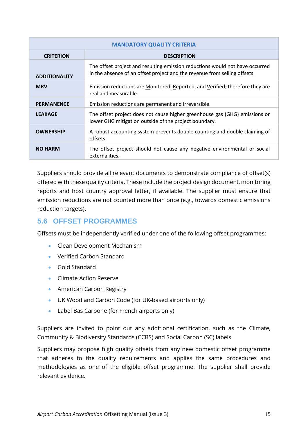| <b>MANDATORY QUALITY CRITERIA</b> |                                                                                                                                                           |  |
|-----------------------------------|-----------------------------------------------------------------------------------------------------------------------------------------------------------|--|
| <b>CRITERION</b>                  | <b>DESCRIPTION</b>                                                                                                                                        |  |
| <b>ADDITIONALITY</b>              | The offset project and resulting emission reductions would not have occurred<br>in the absence of an offset project and the revenue from selling offsets. |  |
| <b>MRV</b>                        | Emission reductions are Monitored, Reported, and Verified; therefore they are<br>real and measurable.                                                     |  |
| <b>PERMANENCE</b>                 | Emission reductions are permanent and irreversible.                                                                                                       |  |
| <b>LEAKAGE</b>                    | The offset project does not cause higher greenhouse gas (GHG) emissions or<br>lower GHG mitigation outside of the project boundary.                       |  |
| <b>OWNERSHIP</b>                  | A robust accounting system prevents double counting and double claiming of<br>offsets.                                                                    |  |
| <b>NO HARM</b>                    | The offset project should not cause any negative environmental or social<br>externalities.                                                                |  |

Suppliers should provide all relevant documents to demonstrate compliance of offset(s) offered with these quality criteria. These include the project design document, monitoring reports and host country approval letter, if available. The supplier must ensure that emission reductions are not counted more than once (e.g., towards domestic emissions reduction targets).

## <span id="page-17-0"></span>**5.6 OFFSET PROGRAMMES**

Offsets must be independently verified under one of the following offset programmes:

- Clean Development Mechanism
- Verified Carbon Standard
- Gold Standard
- Climate Action Reserve
- American Carbon Registry
- UK Woodland Carbon Code (for UK-based airports only)
- Label Bas Carbone (for French airports only)

Suppliers are invited to point out any additional certification, such as the Climate, Community & Biodiversity Standards (CCBS) and Social Carbon (SC) labels.

Suppliers may propose high quality offsets from any new domestic offset programme that adheres to the quality requirements and applies the same procedures and methodologies as one of the eligible offset programme. The supplier shall provide relevant evidence.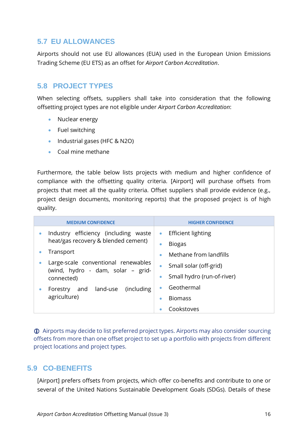## <span id="page-18-0"></span>**5.7 EU ALLOWANCES**

Airports should not use EU allowances (EUA) used in the European Union Emissions Trading Scheme (EU ETS) as an offset for *Airport Carbon Accreditation*.

## <span id="page-18-1"></span>**5.8 PROJECT TYPES**

When selecting offsets, suppliers shall take into consideration that the following offsetting project types are not eligible under *Airport Carbon Accreditation*:

- Nuclear energy
- Fuel switching
- Industrial gases (HFC & N2O)
- Coal mine methane

Furthermore, the table below lists projects with medium and higher confidence of compliance with the offsetting quality criteria. [Airport] will purchase offsets from projects that meet all the quality criteria. Offset suppliers shall provide evidence (e.g., project design documents, monitoring reports) that the proposed project is of high quality.

| <b>MEDIUM CONFIDENCE</b>                                                    | <b>HIGHER CONFIDENCE</b>                                             |
|-----------------------------------------------------------------------------|----------------------------------------------------------------------|
| Industry efficiency (including waste<br>heat/gas recovery & blended cement) | <b>Efficient lighting</b><br>$\bullet$<br><b>Biogas</b><br>$\bullet$ |
| Transport                                                                   | Methane from landfills<br>۰                                          |
| Large-scale conventional renewables<br>(wind, hydro - dam, solar – grid-    | Small solar (off-grid)                                               |
| connected)                                                                  | Small hydro (run-of-river)<br>$\bullet$                              |
| and land-use<br>(including)<br>Forestry                                     | Geothermal<br>۰                                                      |
| agriculture)                                                                | <b>Biomass</b><br>$\bullet$                                          |
|                                                                             | Cookstoves                                                           |

 Airports may decide to list preferred project types. Airports may also consider sourcing offsets from more than one offset project to set up a portfolio with projects from different project locations and project types.

## <span id="page-18-2"></span>**5.9 CO-BENEFITS**

[Airport] prefers offsets from projects, which offer co-benefits and contribute to one or several of the United Nations Sustainable Development Goals (SDGs). Details of these